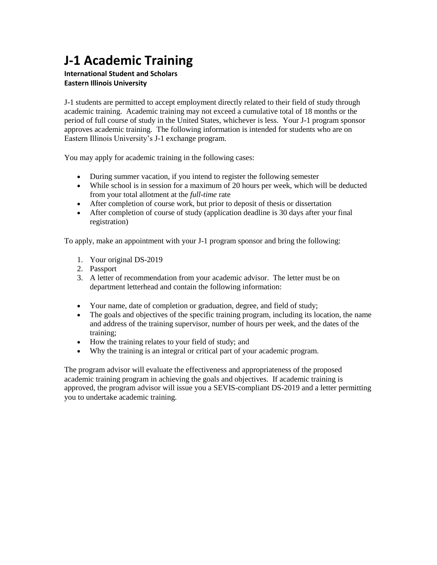## **J-1 Academic Training**

## **International Student and Scholars Eastern Illinois University**

J-1 students are permitted to accept employment directly related to their field of study through academic training. Academic training may not exceed a cumulative total of 18 months or the period of full course of study in the United States, whichever is less. Your J-1 program sponsor approves academic training. The following information is intended for students who are on Eastern Illinois University's J-1 exchange program.

You may apply for academic training in the following cases:

- During summer vacation, if you intend to register the following semester
- While school is in session for a maximum of 20 hours per week, which will be deducted from your total allotment at the *full-time* rate
- After completion of course work, but prior to deposit of thesis or dissertation
- After completion of course of study (application deadline is 30 days after your final registration)

To apply, make an appointment with your J-1 program sponsor and bring the following:

- 1. Your original DS-2019
- 2. Passport
- 3. A letter of recommendation from your academic advisor. The letter must be on department letterhead and contain the following information:
- Your name, date of completion or graduation, degree, and field of study;
- The goals and objectives of the specific training program, including its location, the name and address of the training supervisor, number of hours per week, and the dates of the training;
- How the training relates to your field of study; and
- Why the training is an integral or critical part of your academic program.

The program advisor will evaluate the effectiveness and appropriateness of the proposed academic training program in achieving the goals and objectives. If academic training is approved, the program advisor will issue you a SEVIS-compliant DS-2019 and a letter permitting you to undertake academic training.